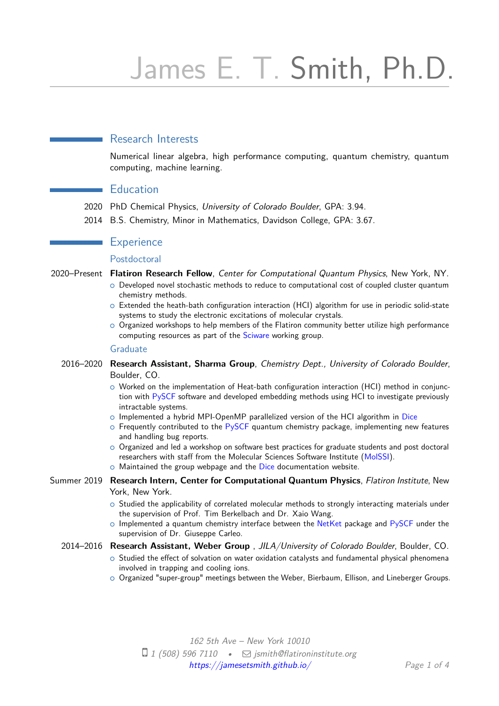# James E. T. Smith, Ph.D.

# Research Interests

Numerical linear algebra, high performance computing, quantum chemistry, quantum computing, machine learning.

## **Education**

- 2020 PhD Chemical Physics, University of Colorado Boulder, GPA: 3.94.
- 2014 B.S. Chemistry, Minor in Mathematics, Davidson College, GPA: 3.67.

# **Experience**

#### Postdoctoral

- 2020–Present **Flatiron Research Fellow**, Center for Computational Quantum Physics, New York, NY.
	- $\circ$  Developed novel stochastic methods to reduce to computational cost of coupled cluster quantum chemistry methods.
	- $\circ$  Extended the heath-bath configuration interaction (HCI) algorithm for use in periodic solid-state systems to study the electronic excitations of molecular crystals.
	- o Organized workshops to help members of the Flatiron community better utilize high performance computing resources as part of the [Sciware](https://github.com/flatironinstitute/sciware) working group.

#### Graduate

- 2016–2020 **Research Assistant, Sharma Group**, Chemistry Dept., University of Colorado Boulder, Boulder, CO.
	- $\circ$  Worked on the implementation of Heat-bath configuration interaction (HCI) method in conjunction with [PySCF](https://pyscf.org/) software and developed embedding methods using HCI to investigate previously intractable systems.
	- o Implemented a hybrid MPI-OpenMP parallelized version of the HCI algorithm in [Dice](https://sanshar.github.io/Dice/)
	- $\circ$  Frequently contributed to the [PySCF](https://pyscf.org/) quantum chemistry package, implementing new features and handling bug reports.
	- $\circ$  Organized and led a workshop on software best practices for graduate students and post doctoral researchers with staff from the Molecular Sciences Software Institute (MoISSI).
	- o Maintained the group webpage and the [Dice](https://sanshar.github.io/Dice/) documentation website.
- Summer 2019 **Research Intern, Center for Computational Quantum Physics**, Flatiron Institute, New York, New York.
	- $\circ$  Studied the applicability of correlated molecular methods to strongly interacting materials under the supervision of Prof. Tim Berkelbach and Dr. Xaio Wang.
	- $\circ$  Implemented a quantum chemistry interface between the [NetKet](https://github.com/netket/netket) package and [PySCF](https://pyscf.org/) under the supervision of Dr. Giuseppe Carleo.

#### 2014–2016 **Research Assistant, Weber Group** , JILA/University of Colorado Boulder, Boulder, CO.

- $\circ$  Studied the effect of solvation on water oxidation catalysts and fundamental physical phenomena involved in trapping and cooling ions.
- $\circ$  Organized "super-group" meetings between the Weber, Bierbaum, Ellison, and Lineberger Groups.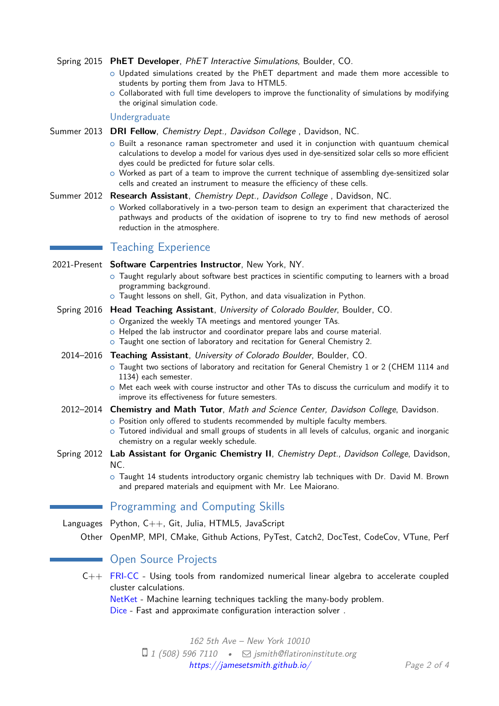|  | Spring 2015 PhET Developer, PhET Interactive Simulations, Boulder, CO. |  |  |  |
|--|------------------------------------------------------------------------|--|--|--|
|--|------------------------------------------------------------------------|--|--|--|

- $\circ$  Updated simulations created by the PhET department and made them more accessible to students by porting them from Java to HTML5.
- $\circ$  Collaborated with full time developers to improve the functionality of simulations by modifying the original simulation code.

Undergraduate

Summer 2013 **DRI Fellow**, Chemistry Dept., Davidson College , Davidson, NC.

- $\circ$  Built a resonance raman spectrometer and used it in conjunction with quantuum chemical calculations to develop a model for various dyes used in dye-sensitized solar cells so more efficient dyes could be predicted for future solar cells.
- $\circ$  Worked as part of a team to improve the current technique of assembling dye-sensitized solar cells and created an instrument to measure the efficiency of these cells.

#### Summer 2012 **Research Assistant**, Chemistry Dept., Davidson College , Davidson, NC.

 $\circ$  Worked collaboratively in a two-person team to design an experiment that characterized the pathways and products of the oxidation of isoprene to try to find new methods of aerosol reduction in the atmosphere.

## Teaching Experience

| 2021-Present Software Carpentries Instructor, New York, NY.<br>$\circ$ Taught regularly about software best practices in scientific computing to learners with a broad<br>programming background.<br>o Taught lessons on shell, Git, Python, and data visualization in Python.                                                                             |  |  |
|------------------------------------------------------------------------------------------------------------------------------------------------------------------------------------------------------------------------------------------------------------------------------------------------------------------------------------------------------------|--|--|
| Spring 2016 Head Teaching Assistant, University of Colorado Boulder, Boulder, CO.<br>o Organized the weekly TA meetings and mentored younger TAs.<br>o Helped the lab instructor and coordinator prepare labs and course material.<br>o Taught one section of laboratory and recitation for General Chemistry 2.                                           |  |  |
| 2014-2016 Teaching Assistant, University of Colorado Boulder, Boulder, CO.<br>o Taught two sections of laboratory and recitation for General Chemistry 1 or 2 (CHEM 1114 and<br>1134) each semester.<br>O Met each week with course instructor and other TAs to discuss the curriculum and modify it to<br>improve its effectiveness for future semesters. |  |  |
| 2012-2014 Chemistry and Math Tutor, Math and Science Center, Davidson College, Davidson.<br>o Position only offered to students recommended by multiple faculty members.<br>o Tutored individual and small groups of students in all levels of calculus, organic and inorganic<br>chemistry on a regular weekly schedule.                                  |  |  |
| Spring 2012 Lab Assistant for Organic Chemistry II, Chemistry Dept., Davidson College, Davidson,<br>NC.<br>$\circ$ Taught 14 students introductory organic chemistry lab techniques with Dr. David M. Brown<br>and prepared materials and equipment with Mr. Lee Maiorano.                                                                                 |  |  |
| <b>Programming and Computing Skills</b>                                                                                                                                                                                                                                                                                                                    |  |  |
| Languages Python, C++, Git, Julia, HTML5, JavaScript<br>Other OpenMP, MPI, CMake, Github Actions, PyTest, Catch2, DocTest, CodeCov, VTune, Perf                                                                                                                                                                                                            |  |  |
| <b>Open Source Projects</b>                                                                                                                                                                                                                                                                                                                                |  |  |
| C++ FRI-CC - Using tools from randomized numerical linear algebra to accelerate coupled<br>cluster calculations.<br>NetKet - Machine learning techniques tackling the many-body problem.<br>Dice - Fast and approximate configuration interaction solver.                                                                                                  |  |  |
| 162 5th Ave - New York 10010                                                                                                                                                                                                                                                                                                                               |  |  |

 $\Box$  1 (508) 596 7110 •  $\Box$  [jsmith@flatironinstitute.org](mailto:jsmith@flatironinstitute.org) <https://jamesetsmith.github.io/> Page 2 of [4](#page-3-0)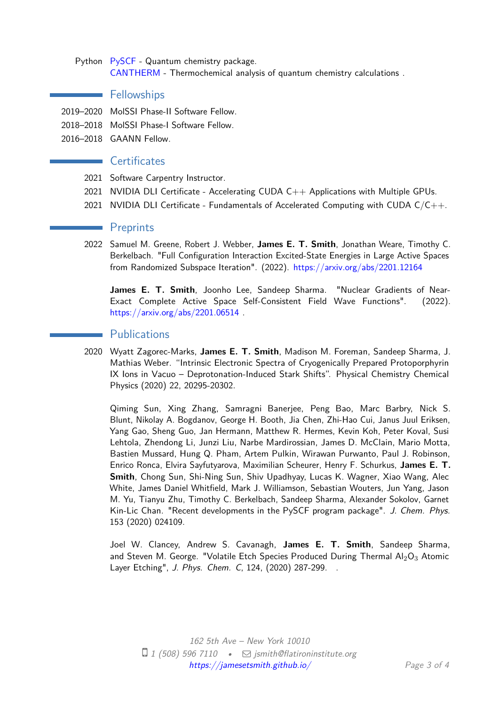## Python [PySCF](https://pyscf.org/) - Quantum chemistry package. [CANTHERM](https://github.com/jamesETsmith/CANTHERM) - Thermochemical analysis of quantum chemistry calculations .

# **Fellowships**

- 2019–2020 MolSSI Phase-II Software Fellow.
- 2018–2018 MolSSI Phase-I Software Fellow.
- 2016–2018 GAANN Fellow.

## **Certificates**

- 2021 Software Carpentry Instructor.
- 2021 NVIDIA DLI Certificate Accelerating CUDA C++ Applications with Multiple GPUs.
- 2021 NVIDIA DLI Certificate Fundamentals of Accelerated Computing with CUDA  $C/C++$ .

# **Preprints**

2022 Samuel M. Greene, Robert J. Webber, **James E. T. Smith**, Jonathan Weare, Timothy C. Berkelbach. "Full Configuration Interaction Excited-State Energies in Large Active Spaces from Randomized Subspace Iteration". (2022). <https://arxiv.org/abs/2201.12164>

**James E. T. Smith**, Joonho Lee, Sandeep Sharma. "Nuclear Gradients of Near-Exact Complete Active Space Self-Consistent Field Wave Functions". (2022). <https://arxiv.org/abs/2201.06514> .

# **Publications**

2020 Wyatt Zagorec-Marks, **James E. T. Smith**, Madison M. Foreman, Sandeep Sharma, J. Mathias Weber. "Intrinsic Electronic Spectra of Cryogenically Prepared Protoporphyrin IX Ions in Vacuo – Deprotonation-Induced Stark Shifts". Physical Chemistry Chemical Physics (2020) 22, 20295-20302.

Qiming Sun, Xing Zhang, Samragni Banerjee, Peng Bao, Marc Barbry, Nick S. Blunt, Nikolay A. Bogdanov, George H. Booth, Jia Chen, Zhi-Hao Cui, Janus Juul Eriksen, Yang Gao, Sheng Guo, Jan Hermann, Matthew R. Hermes, Kevin Koh, Peter Koval, Susi Lehtola, Zhendong Li, Junzi Liu, Narbe Mardirossian, James D. McClain, Mario Motta, Bastien Mussard, Hung Q. Pham, Artem Pulkin, Wirawan Purwanto, Paul J. Robinson, Enrico Ronca, Elvira Sayfutyarova, Maximilian Scheurer, Henry F. Schurkus, **James E. T. Smith**, Chong Sun, Shi-Ning Sun, Shiv Upadhyay, Lucas K. Wagner, Xiao Wang, Alec White, James Daniel Whitfield, Mark J. Williamson, Sebastian Wouters, Jun Yang, Jason M. Yu, Tianyu Zhu, Timothy C. Berkelbach, Sandeep Sharma, Alexander Sokolov, Garnet Kin-Lic Chan. "Recent developments in the PySCF program package". J. Chem. Phys. 153 (2020) 024109.

Joel W. Clancey, Andrew S. Cavanagh, **James E. T. Smith**, Sandeep Sharma, and Steven M. George. "Volatile Etch Species Produced During Thermal  $Al_2O_3$  Atomic Layer Etching", J. Phys. Chem. C, 124, (2020) 287-299. .